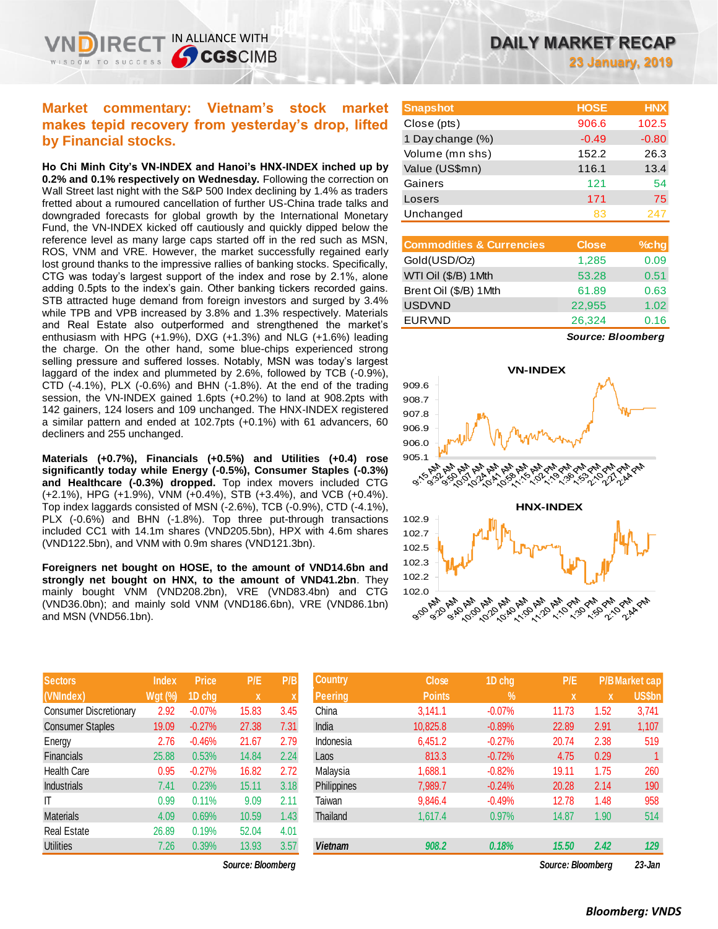### **Market commentary: Vietnam's stock market makes tepid recovery from yesterday's drop, lifted by Financial stocks.**

IN ALLIANCE WITH

**CGS**CIMB

**Ho Chi Minh City's VN-INDEX and Hanoi's HNX-INDEX inched up by 0.2% and 0.1% respectively on Wednesday.** Following the correction on Wall Street last night with the S&P 500 Index declining by 1.4% as traders fretted about a rumoured cancellation of further US-China trade talks and downgraded forecasts for global growth by the International Monetary Fund, the VN-INDEX kicked off cautiously and quickly dipped below the reference level as many large caps started off in the red such as MSN, ROS, VNM and VRE. However, the market successfully regained early lost ground thanks to the impressive rallies of banking stocks. Specifically, CTG was today's largest support of the index and rose by 2.1%, alone adding 0.5pts to the index's gain. Other banking tickers recorded gains. STB attracted huge demand from foreign investors and surged by 3.4% while TPB and VPB increased by 3.8% and 1.3% respectively. Materials and Real Estate also outperformed and strengthened the market's enthusiasm with HPG (+1.9%), DXG (+1.3%) and NLG (+1.6%) leading the charge. On the other hand, some blue-chips experienced strong selling pressure and suffered losses. Notably, MSN was today's largest laggard of the index and plummeted by 2.6%, followed by TCB (-0.9%), CTD (-4.1%), PLX (-0.6%) and BHN (-1.8%). At the end of the trading session, the VN-INDEX gained 1.6pts (+0.2%) to land at 908.2pts with 142 gainers, 124 losers and 109 unchanged. The HNX-INDEX registered a similar pattern and ended at 102.7pts (+0.1%) with 61 advancers, 60 decliners and 255 unchanged.

**Materials (+0.7%), Financials (+0.5%) and Utilities (+0.4) rose significantly today while Energy (-0.5%), Consumer Staples (-0.3%) and Healthcare (-0.3%) dropped.** Top index movers included CTG (+2.1%), HPG (+1.9%), VNM (+0.4%), STB (+3.4%), and VCB (+0.4%). Top index laggards consisted of MSN (-2.6%), TCB (-0.9%), CTD (-4.1%), PLX (-0.6%) and BHN (-1.8%). Top three put-through transactions included CC1 with 14.1m shares (VND205.5bn), HPX with 4.6m shares (VND122.5bn), and VNM with 0.9m shares (VND121.3bn).

**Foreigners net bought on HOSE, to the amount of VND14.6bn and strongly net bought on HNX, to the amount of VND41.2bn**. They mainly bought VNM (VND208.2bn), VRE (VND83.4bn) and CTG (VND36.0bn); and mainly sold VNM (VND186.6bn), VRE (VND86.1bn) and MSN (VND56.1bn).

| <b>Sectors</b>                | <b>Index</b>   | <b>Price</b> | P/E   | P/B  |
|-------------------------------|----------------|--------------|-------|------|
| (VNIndex)                     | <b>Wgt (%)</b> | 1D chg       | X     | X    |
| <b>Consumer Discretionary</b> | 2.92           | $-0.07%$     | 15.83 | 3.45 |
| <b>Consumer Staples</b>       | 19.09          | $-0.27%$     | 27.38 | 7.31 |
| Energy                        | 2.76           | $-0.46%$     | 21.67 | 2.79 |
| <b>Financials</b>             | 25.88          | 0.53%        | 14.84 | 2.24 |
| <b>Health Care</b>            | 0.95           | $-0.27%$     | 16.82 | 2.72 |
| <b>Industrials</b>            | 7.41           | 0.23%        | 15.11 | 3.18 |
| IT                            | 0.99           | 0.11%        | 9.09  | 2.11 |
| <b>Materials</b>              | 4.09           | 0.69%        | 10.59 | 1.43 |
| <b>Real Estate</b>            | 26.89          | 0.19%        | 52.04 | 4.01 |
| <b>Utilities</b>              | 7.26           | 0.39%        | 13.93 | 3.57 |

**23 January, 2019**

| <b>Snapshot</b>  | <b>HOSE</b> | <b>HNX</b> |
|------------------|-------------|------------|
| Close (pts)      | 906.6       | 102.5      |
| 1 Day change (%) | $-0.49$     | $-0.80$    |
| Volume (mn shs)  | 152.2       | 26.3       |
| Value (US\$mn)   | 116.1       | 13.4       |
| Gainers          | 121         | 54         |
| Losers           | 171         | 75         |
| Unchanged        | 83          |            |

| <b>Commodities &amp; Currencies</b> | <b>Close</b> | $%$ chg |
|-------------------------------------|--------------|---------|
| Gold(USD/Oz)                        | 1,285        | 0.09    |
| WTI Oil (\$/B) 1Mth                 | 53.28        | 0.51    |
| Brent Oil (\$/B) 1Mth               | 61.89        | 0.63    |
| <b>USDVND</b>                       | 22,955       | 1.02    |
| <b>EURVND</b>                       | 26,324       | 0.16    |

*Source: Bloomberg*



| <b>Sectors</b>         | <b>Index</b>   | <b>Price</b> | P/E               | P/B  | <b>Country</b> | <b>Close</b>  | 1D chg   | P/E               |      | <b>P/B Market cap</b> |
|------------------------|----------------|--------------|-------------------|------|----------------|---------------|----------|-------------------|------|-----------------------|
| (VNIndex)              | <b>Wgt (%)</b> | 1D chg       | X                 |      | Peering        | <b>Points</b> | $\%$     | X                 | X    | US\$bn                |
| Consumer Discretionary | 2.92           | $-0.07%$     | 15.83             | 3.45 | China          | 3.141.1       | $-0.07%$ | 11.73             | 1.52 | 3,741                 |
| Consumer Staples       | 19.09          | $-0.27%$     | 27.38             | 7.31 | India          | 10.825.8      | $-0.89%$ | 22.89             | 2.91 | 1,107                 |
| Energy                 | 2.76           | $-0.46%$     | 21.67             | 2.79 | Indonesia      | 6,451.2       | $-0.27%$ | 20.74             | 2.38 | 519                   |
| Financials             | 25.88          | 0.53%        | 14.84             | 2.24 | Laos           | 813.3         | $-0.72%$ | 4.75              | 0.29 |                       |
| Health Care            | 0.95           | $-0.27%$     | 16.82             | 2.72 | Malaysia       | 1,688.1       | $-0.82%$ | 19.11             | 1.75 | 260                   |
| Industrials            | 7.41           | 0.23%        | 15.11             | 3.18 | Philippines    | 7,989.7       | $-0.24%$ | 20.28             | 2.14 | 190                   |
| IT                     | 0.99           | 0.11%        | 9.09              | 2.11 | Taiwan         | 9,846.4       | $-0.49%$ | 12.78             | 1.48 | 958                   |
| Materials              | 4.09           | 0.69%        | 10.59             | 1.43 | Thailand       | 1,617.4       | 0.97%    | 14.87             | 1.90 | 514                   |
| Real Estate            | 26.89          | 0.19%        | 52.04             | 4.01 |                |               |          |                   |      |                       |
| Utilities              | 7.26           | 0.39%        | 13.93             | 3.57 | <b>Vietnam</b> | 908.2         | 0.18%    | 15.50             | 2.42 | 129                   |
|                        |                |              | Source: Bloombera |      |                |               |          | Source: Bloombera |      | $23 - Jan$            |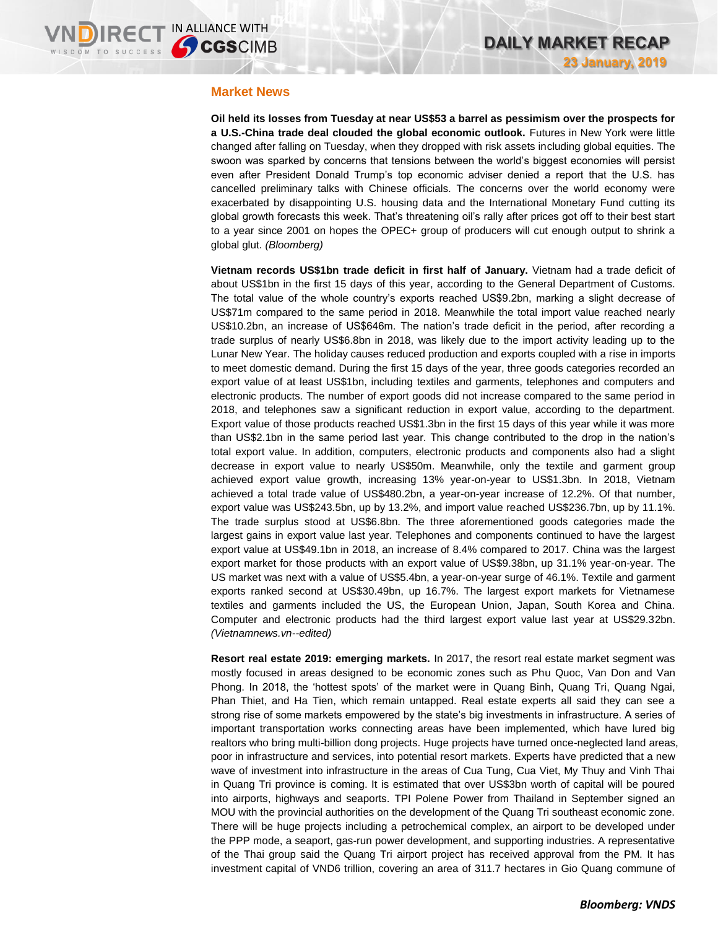#### **Market News**

**Oil held its losses from Tuesday at near US\$53 a barrel as pessimism over the prospects for a U.S.-China trade deal clouded the global economic outlook.** Futures in New York were little changed after falling on Tuesday, when they dropped with risk assets including global equities. The swoon was sparked by concerns that tensions between the world's biggest economies will persist even after President Donald Trump's top economic adviser denied a report that the U.S. has cancelled preliminary talks with Chinese officials. The concerns over the world economy were exacerbated by disappointing U.S. housing data and the International Monetary Fund cutting its global growth forecasts this week. That's threatening oil's rally after prices got off to their best start to a year since 2001 on hopes the OPEC+ group of producers will cut enough output to shrink a global glut. *(Bloomberg)*

**Vietnam records US\$1bn trade deficit in first half of January.** Vietnam had a trade deficit of about US\$1bn in the first 15 days of this year, according to the General Department of Customs. The total value of the whole country's exports reached US\$9.2bn, marking a slight decrease of US\$71m compared to the same period in 2018. Meanwhile the total import value reached nearly US\$10.2bn, an increase of US\$646m. The nation's trade deficit in the period, after recording a trade surplus of nearly US\$6.8bn in 2018, was likely due to the import activity leading up to the Lunar New Year. The holiday causes reduced production and exports coupled with a rise in imports to meet domestic demand. During the first 15 days of the year, three goods categories recorded an export value of at least US\$1bn, including textiles and garments, telephones and computers and electronic products. The number of export goods did not increase compared to the same period in 2018, and telephones saw a significant reduction in export value, according to the department. Export value of those products reached US\$1.3bn in the first 15 days of this year while it was more than US\$2.1bn in the same period last year. This change contributed to the drop in the nation's total export value. In addition, computers, electronic products and components also had a slight decrease in export value to nearly US\$50m. Meanwhile, only the textile and garment group achieved export value growth, increasing 13% year-on-year to US\$1.3bn. In 2018, Vietnam achieved a total trade value of US\$480.2bn, a year-on-year increase of 12.2%. Of that number, export value was US\$243.5bn, up by 13.2%, and import value reached US\$236.7bn, up by 11.1%. The trade surplus stood at US\$6.8bn. The three aforementioned goods categories made the largest gains in export value last year. Telephones and components continued to have the largest export value at US\$49.1bn in 2018, an increase of 8.4% compared to 2017. China was the largest export market for those products with an export value of US\$9.38bn, up 31.1% year-on-year. The US market was next with a value of US\$5.4bn, a year-on-year surge of 46.1%. Textile and garment exports ranked second at US\$30.49bn, up 16.7%. The largest export markets for Vietnamese textiles and garments included the US, the European Union, Japan, South Korea and China. Computer and electronic products had the third largest export value last year at US\$29.32bn. *(Vietnamnews.vn--edited)*

**Resort real estate 2019: emerging markets.** In 2017, the resort real estate market segment was mostly focused in areas designed to be economic zones such as Phu Quoc, Van Don and Van Phong. In 2018, the 'hottest spots' of the market were in Quang Binh, Quang Tri, Quang Ngai, Phan Thiet, and Ha Tien, which remain untapped. Real estate experts all said they can see a strong rise of some markets empowered by the state's big investments in infrastructure. A series of important transportation works connecting areas have been implemented, which have lured big realtors who bring multi-billion dong projects. Huge projects have turned once-neglected land areas, poor in infrastructure and services, into potential resort markets. Experts have predicted that a new wave of investment into infrastructure in the areas of Cua Tung, Cua Viet, My Thuy and Vinh Thai in Quang Tri province is coming. It is estimated that over US\$3bn worth of capital will be poured into airports, highways and seaports. TPI Polene Power from Thailand in September signed an MOU with the provincial authorities on the development of the Quang Tri southeast economic zone. There will be huge projects including a petrochemical complex, an airport to be developed under the PPP mode, a seaport, gas-run power development, and supporting industries. A representative of the Thai group said the Quang Tri airport project has received approval from the PM. It has investment capital of VND6 trillion, covering an area of 311.7 hectares in Gio Quang commune of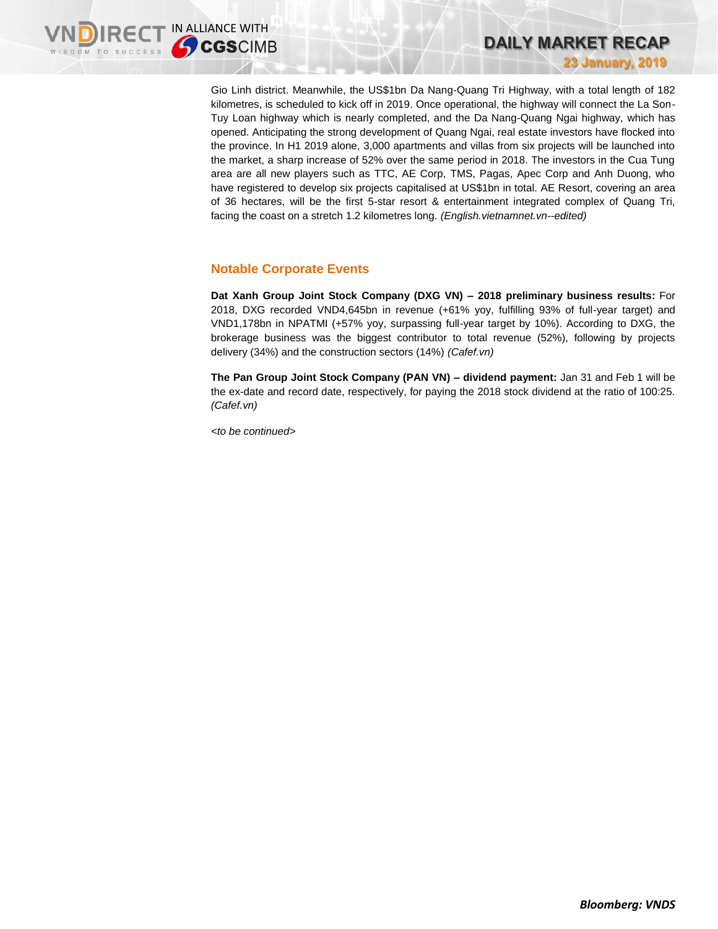Gio Linh district. Meanwhile, the US\$1bn Da Nang-Quang Tri Highway, with a total length of 182 kilometres, is scheduled to kick off in 2019. Once operational, the highway will connect the La Son-Tuy Loan highway which is nearly completed, and the Da Nang-Quang Ngai highway, which has opened. Anticipating the strong development of Quang Ngai, real estate investors have flocked into the province. In H1 2019 alone, 3,000 apartments and villas from six projects will be launched into the market, a sharp increase of 52% over the same period in 2018. The investors in the Cua Tung area are all new players such as TTC, AE Corp, TMS, Pagas, Apec Corp and Anh Duong, who have registered to develop six projects capitalised at US\$1bn in total. AE Resort, covering an area of 36 hectares, will be the first 5-star resort & entertainment integrated complex of Quang Tri, facing the coast on a stretch 1.2 kilometres long. *(English.vietnamnet.vn--edited)*

### **Notable Corporate Events**

**Dat Xanh Group Joint Stock Company (DXG VN) – 2018 preliminary business results:** For 2018, DXG recorded VND4,645bn in revenue (+61% yoy, fulfilling 93% of full-year target) and VND1,178bn in NPATMI (+57% yoy, surpassing full-year target by 10%). According to DXG, the brokerage business was the biggest contributor to total revenue (52%), following by projects delivery (34%) and the construction sectors (14%) *(Cafef.vn)*

**The Pan Group Joint Stock Company (PAN VN) – dividend payment:** Jan 31 and Feb 1 will be the ex-date and record date, respectively, for paying the 2018 stock dividend at the ratio of 100:25. *(Cafef.vn)*

*<to be continued>*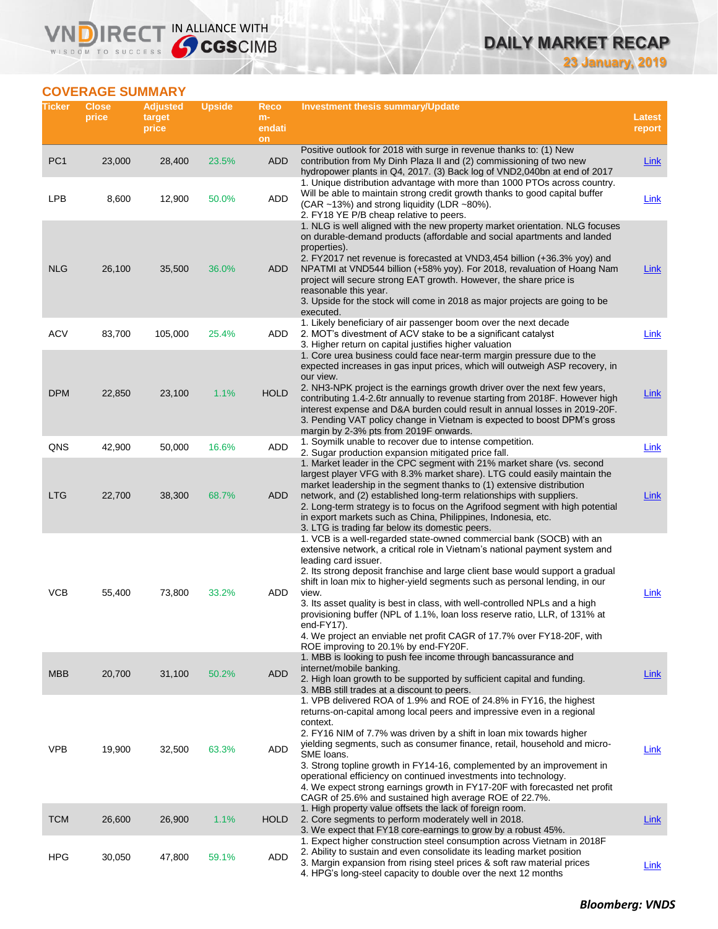# **DAILY MARKET RECAP**

**23 January, 2019**

### **COVERAGE SUMMARY**

WISDOM TO SUCCESS

**VNDIRECT IN ALLIANCE WITH** 

| Ticker          | <b>Close</b><br>price | <b>Adjusted</b><br>target<br>price | <b>Upside</b> | Reco<br>m-<br>endati<br>on | <b>Investment thesis summary/Update</b>                                                                                                                                                                                                                                                                                                                                                                                                                                                                                                                                                                                                           | Latest<br>report |
|-----------------|-----------------------|------------------------------------|---------------|----------------------------|---------------------------------------------------------------------------------------------------------------------------------------------------------------------------------------------------------------------------------------------------------------------------------------------------------------------------------------------------------------------------------------------------------------------------------------------------------------------------------------------------------------------------------------------------------------------------------------------------------------------------------------------------|------------------|
| PC <sub>1</sub> | 23,000                | 28,400                             | 23.5%         | <b>ADD</b>                 | Positive outlook for 2018 with surge in revenue thanks to: (1) New<br>contribution from My Dinh Plaza II and (2) commissioning of two new<br>hydropower plants in Q4, 2017. (3) Back log of VND2,040bn at end of 2017                                                                                                                                                                                                                                                                                                                                                                                                                             | Link             |
| <b>LPB</b>      | 8,600                 | 12,900                             | 50.0%         | ADD                        | 1. Unique distribution advantage with more than 1000 PTOs across country.<br>Will be able to maintain strong credit growth thanks to good capital buffer<br>(CAR ~13%) and strong liquidity (LDR ~80%).<br>2. FY18 YE P/B cheap relative to peers.                                                                                                                                                                                                                                                                                                                                                                                                | Link             |
| <b>NLG</b>      | 26,100                | 35,500                             | 36.0%         | ADD                        | 1. NLG is well aligned with the new property market orientation. NLG focuses<br>on durable-demand products (affordable and social apartments and landed<br>properties).<br>2. FY2017 net revenue is forecasted at VND3,454 billion (+36.3% yoy) and<br>NPATMI at VND544 billion (+58% yoy). For 2018, revaluation of Hoang Nam<br>project will secure strong EAT growth. However, the share price is<br>reasonable this year.<br>3. Upside for the stock will come in 2018 as major projects are going to be<br>executed.                                                                                                                         | Link             |
| <b>ACV</b>      | 83,700                | 105,000                            | 25.4%         | ADD                        | 1. Likely beneficiary of air passenger boom over the next decade<br>2. MOT's divestment of ACV stake to be a significant catalyst<br>3. Higher return on capital justifies higher valuation                                                                                                                                                                                                                                                                                                                                                                                                                                                       | Link             |
| <b>DPM</b>      | 22,850                | 23,100                             | 1.1%          | <b>HOLD</b>                | 1. Core urea business could face near-term margin pressure due to the<br>expected increases in gas input prices, which will outweigh ASP recovery, in<br>our view.<br>2. NH3-NPK project is the earnings growth driver over the next few years,<br>contributing 1.4-2.6tr annually to revenue starting from 2018F. However high<br>interest expense and D&A burden could result in annual losses in 2019-20F.<br>3. Pending VAT policy change in Vietnam is expected to boost DPM's gross<br>margin by 2-3% pts from 2019F onwards.                                                                                                               | Link             |
| QNS             | 42,900                | 50,000                             | 16.6%         | ADD                        | 1. Soymilk unable to recover due to intense competition.<br>2. Sugar production expansion mitigated price fall.<br>1. Market leader in the CPC segment with 21% market share (vs. second                                                                                                                                                                                                                                                                                                                                                                                                                                                          | Link             |
| <b>LTG</b>      | 22,700                | 38,300                             | 68.7%         | ADD                        | largest player VFG with 8.3% market share). LTG could easily maintain the<br>market leadership in the segment thanks to (1) extensive distribution<br>network, and (2) established long-term relationships with suppliers.<br>2. Long-term strategy is to focus on the Agrifood segment with high potential<br>in export markets such as China, Philippines, Indonesia, etc.<br>3. LTG is trading far below its domestic peers.                                                                                                                                                                                                                   | Link             |
| <b>VCB</b>      | 55,400                | 73,800                             | 33.2%         | ADD                        | 1. VCB is a well-regarded state-owned commercial bank (SOCB) with an<br>extensive network, a critical role in Vietnam's national payment system and<br>leading card issuer.<br>2. Its strong deposit franchise and large client base would support a gradual<br>shift in loan mix to higher-yield segments such as personal lending, in our<br>view.<br>3. Its asset quality is best in class, with well-controlled NPLs and a high<br>provisioning buffer (NPL of 1.1%, loan loss reserve ratio, LLR, of 131% at<br>end-FY17).<br>4. We project an enviable net profit CAGR of 17.7% over FY18-20F, with<br>ROE improving to 20.1% by end-FY20F. | Link             |
| <b>MBB</b>      | 20,700                | 31,100                             | 50.2%         | <b>ADD</b>                 | 1. MBB is looking to push fee income through bancassurance and<br>internet/mobile banking.<br>2. High loan growth to be supported by sufficient capital and funding.<br>3. MBB still trades at a discount to peers.                                                                                                                                                                                                                                                                                                                                                                                                                               | <b>Link</b>      |
| <b>VPB</b>      | 19,900                | 32,500                             | 63.3%         | ADD                        | 1. VPB delivered ROA of 1.9% and ROE of 24.8% in FY16, the highest<br>returns-on-capital among local peers and impressive even in a regional<br>context.<br>2. FY16 NIM of 7.7% was driven by a shift in loan mix towards higher<br>yielding segments, such as consumer finance, retail, household and micro-<br>SME loans.<br>3. Strong topline growth in FY14-16, complemented by an improvement in<br>operational efficiency on continued investments into technology.<br>4. We expect strong earnings growth in FY17-20F with forecasted net profit<br>CAGR of 25.6% and sustained high average ROE of 22.7%.                                 | <b>Link</b>      |
| <b>TCM</b>      | 26,600                | 26,900                             | 1.1%          | <b>HOLD</b>                | 1. High property value offsets the lack of foreign room.<br>2. Core segments to perform moderately well in 2018.<br>3. We expect that FY18 core-earnings to grow by a robust 45%.                                                                                                                                                                                                                                                                                                                                                                                                                                                                 | <b>Link</b>      |
| <b>HPG</b>      | 30,050                | 47,800                             | 59.1%         | ADD                        | 1. Expect higher construction steel consumption across Vietnam in 2018F<br>2. Ability to sustain and even consolidate its leading market position<br>3. Margin expansion from rising steel prices & soft raw material prices<br>4. HPG's long-steel capacity to double over the next 12 months                                                                                                                                                                                                                                                                                                                                                    | Link             |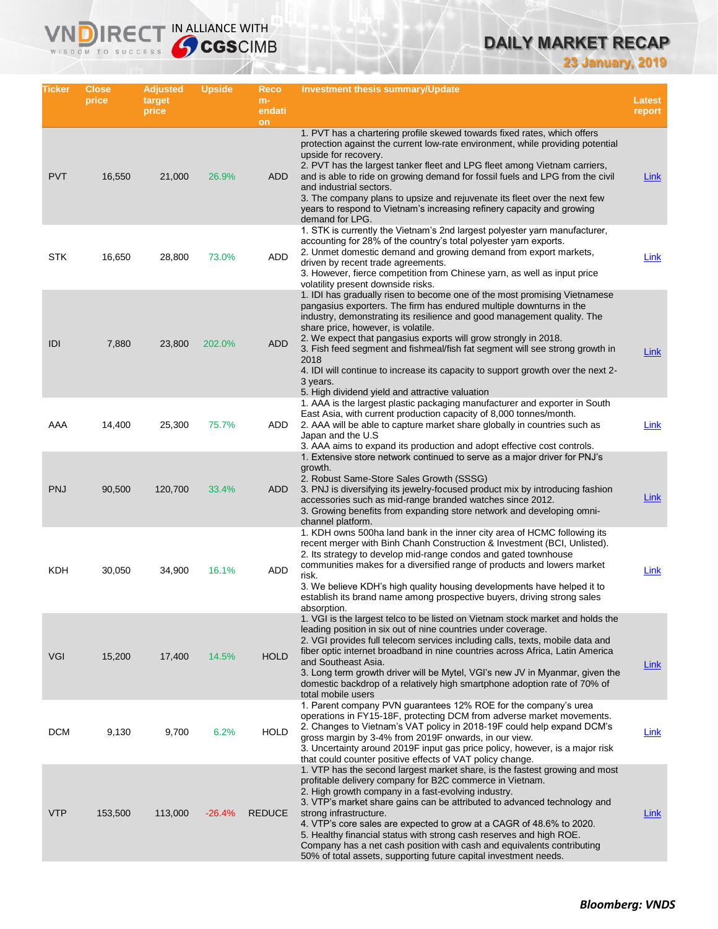## **DAILY MARKET RECAP**

**23 January, 2019**

| Ticker     | <b>Close</b><br>price | <b>Adjusted</b><br>target<br>price | <b>Upside</b> | Reco<br>$m-$<br>endati | <b>Investment thesis summary/Update</b>                                                                                                                                                                                                                                                                                                                                                                                                                                                                                                                                                           | <b>Latest</b><br>report |
|------------|-----------------------|------------------------------------|---------------|------------------------|---------------------------------------------------------------------------------------------------------------------------------------------------------------------------------------------------------------------------------------------------------------------------------------------------------------------------------------------------------------------------------------------------------------------------------------------------------------------------------------------------------------------------------------------------------------------------------------------------|-------------------------|
|            |                       |                                    |               | on                     | 1. PVT has a chartering profile skewed towards fixed rates, which offers<br>protection against the current low-rate environment, while providing potential                                                                                                                                                                                                                                                                                                                                                                                                                                        |                         |
| <b>PVT</b> | 16,550                | 21,000                             | 26.9%         | ADD                    | upside for recovery.<br>2. PVT has the largest tanker fleet and LPG fleet among Vietnam carriers,<br>and is able to ride on growing demand for fossil fuels and LPG from the civil<br>and industrial sectors.<br>3. The company plans to upsize and rejuvenate its fleet over the next few<br>years to respond to Vietnam's increasing refinery capacity and growing<br>demand for LPG.                                                                                                                                                                                                           | Link                    |
| <b>STK</b> | 16,650                | 28,800                             | 73.0%         | ADD                    | 1. STK is currently the Vietnam's 2nd largest polyester yarn manufacturer,<br>accounting for 28% of the country's total polyester yarn exports.<br>2. Unmet domestic demand and growing demand from export markets,<br>driven by recent trade agreements.<br>3. However, fierce competition from Chinese yarn, as well as input price<br>volatility present downside risks.                                                                                                                                                                                                                       | Link                    |
| IDI        | 7,880                 | 23,800                             | 202.0%        | <b>ADD</b>             | 1. IDI has gradually risen to become one of the most promising Vietnamese<br>pangasius exporters. The firm has endured multiple downturns in the<br>industry, demonstrating its resilience and good management quality. The<br>share price, however, is volatile.<br>2. We expect that pangasius exports will grow strongly in 2018.<br>3. Fish feed segment and fishmeal/fish fat segment will see strong growth in<br>2018<br>4. IDI will continue to increase its capacity to support growth over the next 2-<br>3 years.<br>5. High dividend yield and attractive valuation                   | <b>Link</b>             |
| AAA        | 14,400                | 25,300                             | 75.7%         | ADD                    | 1. AAA is the largest plastic packaging manufacturer and exporter in South<br>East Asia, with current production capacity of 8,000 tonnes/month.<br>2. AAA will be able to capture market share globally in countries such as<br>Japan and the U.S.<br>3. AAA aims to expand its production and adopt effective cost controls.                                                                                                                                                                                                                                                                    | Link                    |
| <b>PNJ</b> | 90,500                | 120,700                            | 33.4%         | ADD                    | 1. Extensive store network continued to serve as a major driver for PNJ's<br>growth.<br>2. Robust Same-Store Sales Growth (SSSG)<br>3. PNJ is diversifying its jewelry-focused product mix by introducing fashion<br>accessories such as mid-range branded watches since 2012.<br>3. Growing benefits from expanding store network and developing omni-<br>channel platform.                                                                                                                                                                                                                      | Link                    |
| KDH        | 30,050                | 34,900                             | 16.1%         | ADD                    | 1. KDH owns 500ha land bank in the inner city area of HCMC following its<br>recent merger with Binh Chanh Construction & Investment (BCI, Unlisted).<br>2. Its strategy to develop mid-range condos and gated townhouse<br>communities makes for a diversified range of products and lowers market<br>risk.<br>3. We believe KDH's high quality housing developments have helped it to<br>establish its brand name among prospective buyers, driving strong sales<br>absorption.                                                                                                                  | Link                    |
| VGI        | 15,200                | 17,400                             | 14.5%         | <b>HOLD</b>            | 1. VGI is the largest telco to be listed on Vietnam stock market and holds the<br>leading position in six out of nine countries under coverage.<br>2. VGI provides full telecom services including calls, texts, mobile data and<br>fiber optic internet broadband in nine countries across Africa, Latin America<br>and Southeast Asia.<br>3. Long term growth driver will be Mytel, VGI's new JV in Myanmar, given the<br>domestic backdrop of a relatively high smartphone adoption rate of 70% of<br>total mobile users                                                                       | <b>Link</b>             |
| <b>DCM</b> | 9,130                 | 9,700                              | 6.2%          | <b>HOLD</b>            | 1. Parent company PVN guarantees 12% ROE for the company's urea<br>operations in FY15-18F, protecting DCM from adverse market movements.<br>2. Changes to Vietnam's VAT policy in 2018-19F could help expand DCM's<br>gross margin by 3-4% from 2019F onwards, in our view.<br>3. Uncertainty around 2019F input gas price policy, however, is a major risk<br>that could counter positive effects of VAT policy change.                                                                                                                                                                          | Link                    |
| <b>VTP</b> | 153,500               | 113,000                            | $-26.4%$      | <b>REDUCE</b>          | 1. VTP has the second largest market share, is the fastest growing and most<br>profitable delivery company for B2C commerce in Vietnam.<br>2. High growth company in a fast-evolving industry.<br>3. VTP's market share gains can be attributed to advanced technology and<br>strong infrastructure.<br>4. VTP's core sales are expected to grow at a CAGR of 48.6% to 2020.<br>5. Healthy financial status with strong cash reserves and high ROE.<br>Company has a net cash position with cash and equivalents contributing<br>50% of total assets, supporting future capital investment needs. | <b>Link</b>             |

**VNDIRECT IN ALLIANCE WITH**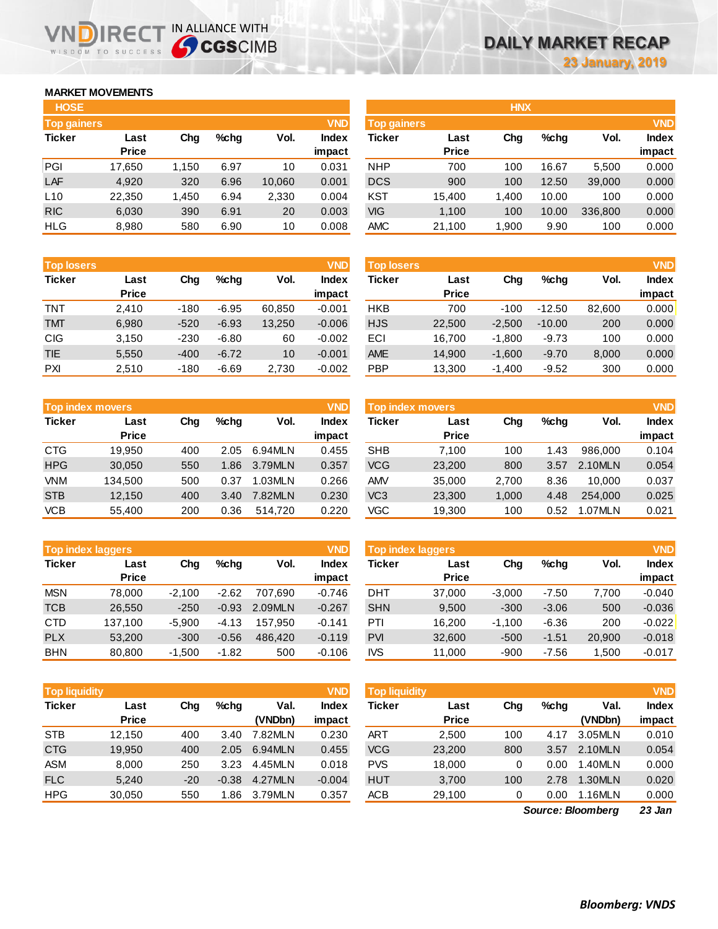### **MARKET MOVEMENTS**

WISDOM TO SUCCESS

הו

| <b>HOSE</b>        |              |       |      |        |              |
|--------------------|--------------|-------|------|--------|--------------|
| <b>Top gainers</b> |              |       |      |        | <b>VND</b>   |
| <b>Ticker</b>      | Last         | Cha   | %chq | Vol.   | <b>Index</b> |
|                    | <b>Price</b> |       |      |        | impact       |
| PGI                | 17,650       | 1,150 | 6.97 | 10     | 0.031        |
| LAF                | 4.920        | 320   | 6.96 | 10,060 | 0.001        |
| L10                | 22,350       | 1,450 | 6.94 | 2,330  | 0.004        |
| <b>RIC</b>         | 6,030        | 390   | 6.91 | 20     | 0.003        |
| <b>HLG</b>         | 8,980        | 580   | 6.90 | 10     | 0.008        |

**IRECT IN ALLIANCE WITH** 

| <b>Top losers</b> |              |        |         |        | <b>VND</b>   |
|-------------------|--------------|--------|---------|--------|--------------|
| <b>Ticker</b>     | Last         | Cha    | $%$ chq | Vol.   | <b>Index</b> |
|                   | <b>Price</b> |        |         |        | impact       |
| <b>TNT</b>        | 2.410        | $-180$ | $-6.95$ | 60,850 | $-0.001$     |
| <b>TMT</b>        | 6,980        | $-520$ | $-6.93$ | 13,250 | $-0.006$     |
| <b>CIG</b>        | 3,150        | $-230$ | $-6.80$ | 60     | $-0.002$     |
| <b>TIE</b>        | 5,550        | $-400$ | $-6.72$ | 10     | $-0.001$     |
| PXI               | 2.510        | $-180$ | $-6.69$ | 2.730  | $-0.002$     |

|               | <b>Top index movers</b> |     |         |         |              |  |  |  |  |
|---------------|-------------------------|-----|---------|---------|--------------|--|--|--|--|
| <b>Ticker</b> | Last                    | Cha | $%$ chq | Vol.    | <b>Index</b> |  |  |  |  |
|               | <b>Price</b>            |     |         |         | impact       |  |  |  |  |
| <b>CTG</b>    | 19,950                  | 400 | 2.05    | 6.94MLN | 0.455        |  |  |  |  |
| <b>HPG</b>    | 30,050                  | 550 | 1.86    | 3.79MLN | 0.357        |  |  |  |  |
| VNM           | 134,500                 | 500 | 0.37    | 1.03MLN | 0.266        |  |  |  |  |
| <b>STB</b>    | 12,150                  | 400 | 3.40    | 7.82MLN | 0.230        |  |  |  |  |
| <b>VCB</b>    | 55,400                  | 200 | 0.36    | 514.720 | 0.220        |  |  |  |  |

| <b>VND</b><br><b>Top index laggers</b> |              |          |         |         |              |  |  |  |  |
|----------------------------------------|--------------|----------|---------|---------|--------------|--|--|--|--|
| <b>Ticker</b>                          | Last         | Cha      | %chq    | Vol.    | <b>Index</b> |  |  |  |  |
|                                        | <b>Price</b> |          |         |         | impact       |  |  |  |  |
| <b>MSN</b>                             | 78,000       | $-2,100$ | $-2.62$ | 707.690 | $-0.746$     |  |  |  |  |
| <b>TCB</b>                             | 26,550       | $-250$   | $-0.93$ | 2.09MLN | $-0.267$     |  |  |  |  |
| CTD                                    | 137,100      | $-5,900$ | $-4.13$ | 157.950 | $-0.141$     |  |  |  |  |
| <b>PLX</b>                             | 53,200       | $-300$   | $-0.56$ | 486.420 | $-0.119$     |  |  |  |  |
| <b>BHN</b>                             | 80,800       | $-1,500$ | $-1.82$ | 500     | $-0.106$     |  |  |  |  |

| <b>VND</b><br><b>Top liquidity</b> |              |       |         |         |              |  |  |  |
|------------------------------------|--------------|-------|---------|---------|--------------|--|--|--|
| <b>Ticker</b>                      | Last         | Cha   | $%$ chq | Val.    | <b>Index</b> |  |  |  |
|                                    | <b>Price</b> |       |         | (VNDbn) | impact       |  |  |  |
| <b>STB</b>                         | 12,150       | 400   | 3.40    | 7.82MLN | 0.230        |  |  |  |
| <b>CTG</b>                         | 19.950       | 400   | 2.05    | 6.94MLN | 0.455        |  |  |  |
| ASM                                | 8.000        | 250   | 3.23    | 4.45MLN | 0.018        |  |  |  |
| <b>FLC</b>                         | 5,240        | $-20$ | $-0.38$ | 4.27MLN | $-0.004$     |  |  |  |
| <b>HPG</b>                         | 30,050       | 550   | 1.86    | 3.79MLN | 0.357        |  |  |  |

| <b>HOSE</b>        |              |       |         |        |              |                    |              | <b>HNX</b> |         |         |              |
|--------------------|--------------|-------|---------|--------|--------------|--------------------|--------------|------------|---------|---------|--------------|
| <b>Top gainers</b> |              |       |         |        | <b>VND</b>   | <b>Top gainers</b> |              |            |         |         | <b>VND</b>   |
| Ticker             | Last         | Chg   | $%$ chg | Vol.   | <b>Index</b> | Ticker             | Last         | Chg        | $%$ chq | Vol.    | <b>Index</b> |
|                    | <b>Price</b> |       |         |        | impact       |                    | <b>Price</b> |            |         |         | impact       |
| PGI                | 17,650       | 1.150 | 6.97    | 10     | 0.031        | <b>NHP</b>         | 700          | 100        | 16.67   | 5,500   | 0.000        |
| LAF                | 4,920        | 320   | 6.96    | 10,060 | 0.001        | <b>DCS</b>         | 900          | 100        | 12.50   | 39,000  | 0.000        |
| L10                | 22,350       | 1,450 | 6.94    | 2,330  | 0.004        | <b>KST</b>         | 15,400       | 1,400      | 10.00   | 100     | 0.000        |
| <b>RIC</b>         | 6,030        | 390   | 6.91    | 20     | 0.003        | VIG                | 1,100        | 100        | 10.00   | 336,800 | 0.000        |
| HLG                | 8,980        | 580   | 6.90    | 10     | 0.008        | <b>AMC</b>         | 21,100       | 1,900      | 9.90    | 100     | 0.000        |
|                    |              |       |         |        |              |                    |              |            |         |         |              |

| <b>Top losers</b> |                      |        |         |        | <b>VND</b>      | <b>Top losers</b> |                      |          |          |        | <b>VND</b>      |
|-------------------|----------------------|--------|---------|--------|-----------------|-------------------|----------------------|----------|----------|--------|-----------------|
| Ticker            | Last<br><b>Price</b> | Chg    | $%$ chq | Vol.   | Index<br>impact | Ticker            | Last<br><b>Price</b> | Chg      | $%$ chq  | Vol.   | Index<br>impact |
| TNT               | 2.410                | $-180$ | $-6.95$ | 60.850 | $-0.001$        | HKB               | 700                  | $-100$   | $-12.50$ | 82.600 | 0.000           |
| <b>TMT</b>        | 6,980                | $-520$ | $-6.93$ | 13.250 | $-0.006$        | <b>HJS</b>        | 22,500               | $-2.500$ | $-10.00$ | 200    | 0.000           |
| CIG               | 3,150                | $-230$ | $-6.80$ | 60     | $-0.002$        | ECI               | 16.700               | $-1.800$ | $-9.73$  | 100    | 0.000           |
| <b>TIE</b>        | 5,550                | $-400$ | $-6.72$ | 10     | $-0.001$        | <b>AME</b>        | 14,900               | $-1.600$ | $-9.70$  | 8,000  | 0.000           |
| PXI               | 2,510                | $-180$ | $-6.69$ | 2,730  | $-0.002$        | PBP               | 13,300               | $-1,400$ | $-9.52$  | 300    | 0.000           |

| Top index movers |              |         |         | <b>VND</b>   |            |        |                                  |         |         | <b>VND</b>   |
|------------------|--------------|---------|---------|--------------|------------|--------|----------------------------------|---------|---------|--------------|
| Last             | Chg          | $%$ chq | Vol.    | <b>Index</b> | Ticker     | Last   | Chg                              | $%$ chq | Vol.    | <b>Index</b> |
|                  |              |         |         |              |            |        |                                  |         |         | impact       |
| 19.950           | 400          | 2.05    | 6.94MLN | 0.455        | <b>SHB</b> | 7.100  | 100                              | 1.43    | 986,000 | 0.104        |
| 30,050           | 550          | 1.86    | 3.79MLN | 0.357        | <b>VCG</b> | 23,200 | 800                              | 3.57    | 2.10MLN | 0.054        |
| 134.500          | 500          | 0.37    | 1.03MLN | 0.266        | <b>AMV</b> | 35,000 | 2.700                            | 8.36    | 10.000  | 0.037        |
| 12.150           | 400          | 3.40    | 7.82MLN | 0.230        | VC3        | 23,300 | 1.000                            | 4.48    | 254.000 | 0.025        |
| 55,400           | 200          | 0.36    | 514.720 | 0.220        | VGC        | 19,300 | 100                              | 0.52    | 1.07MLN | 0.021        |
|                  | <b>Price</b> |         |         |              | impact     |        | Top index movers<br><b>Price</b> |         |         |              |

| <b>Top index laggers</b> |              |          |         |         | <b>VND</b>   | <b>Top index laggers</b> |              |          |         |        |              |  |
|--------------------------|--------------|----------|---------|---------|--------------|--------------------------|--------------|----------|---------|--------|--------------|--|
| Ticker                   | Last         | Chg      | $%$ chq | Vol.    | <b>Index</b> | Ticker                   | Last         | Chg      | $%$ chq | Vol.   | <b>Index</b> |  |
|                          | <b>Price</b> |          |         |         | impact       |                          | <b>Price</b> |          |         |        | impact       |  |
| <b>MSN</b>               | 78.000       | $-2.100$ | $-2.62$ | 707.690 | $-0.746$     | DHT                      | 37,000       | $-3.000$ | $-7.50$ | 7,700  | $-0.040$     |  |
| TCB                      | 26.550       | $-250$   | $-0.93$ | 2.09MLN | $-0.267$     | <b>SHN</b>               | 9.500        | $-300$   | $-3.06$ | 500    | $-0.036$     |  |
| CTD                      | 137.100      | $-5.900$ | $-4.13$ | 157.950 | $-0.141$     | PTI                      | 16.200       | $-1.100$ | $-6.36$ | 200    | $-0.022$     |  |
| <b>PLX</b>               | 53,200       | $-300$   | $-0.56$ | 486,420 | $-0.119$     | <b>PVI</b>               | 32,600       | $-500$   | $-1.51$ | 20,900 | $-0.018$     |  |
| <b>BHN</b>               | 80,800       | $-1,500$ | $-1.82$ | 500     | $-0.106$     | <b>IVS</b>               | 11,000       | $-900$   | $-7.56$ | 1.500  | $-0.017$     |  |

| <b>Top liquidity</b> |              |       |         |         | <b>VND</b>   | <b>Top liquidity</b> |              |     |      |         | <b>VND</b>    |
|----------------------|--------------|-------|---------|---------|--------------|----------------------|--------------|-----|------|---------|---------------|
| Ticker               | Last         | Chg   | $%$ chq | Val.    | <b>Index</b> | Ticker               | Last         | Chg | %cha | Val.    | Index         |
|                      | <b>Price</b> |       |         | (VNDbn) | impact       |                      | <b>Price</b> |     |      | (VNDbn) | impact        |
| <b>STB</b>           | 12.150       | 400   | 3.40    | 7.82MLN | 0.230        | ART                  | 2,500        | 100 | 4.17 | 3.05MLN | 0.010         |
| <b>CTG</b>           | 19,950       | 400   | 2.05    | 6.94MLN | 0.455        | <b>VCG</b>           | 23,200       | 800 | 3.57 | 2.10MLN | 0.054         |
| ASM                  | 8,000        | 250   | 3.23    | 4.45MLN | 0.018        | <b>PVS</b>           | 18,000       | 0   | 0.00 | 1.40MLN | 0.000         |
| <b>FLC</b>           | 5,240        | $-20$ | $-0.38$ | 4.27MLN | $-0.004$     | <b>HUT</b>           | 3,700        | 100 | 2.78 | 1.30MLN | 0.020         |
| HPG                  | 30,050       | 550   | 1.86    | 3.79MLN | 0.357        | <b>ACB</b>           | 29,100       | 0   | 0.00 | 1.16MLN | 0.000         |
|                      |              |       |         |         |              |                      |              |     |      |         | $\sim$ $\sim$ |

*23 Jan Source: Bloomberg*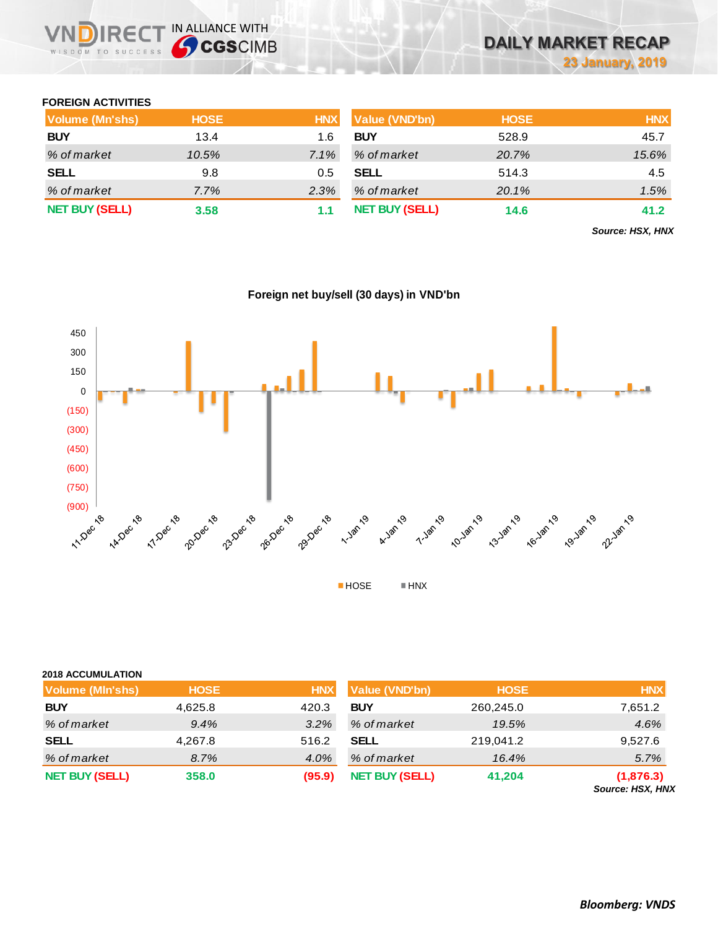### **FOREIGN ACTIVITIES**

WISDOM TO SUCCESS

**VNDIRECT IN ALLIANCE WITH** 

| <b>Volume (Mn'shs)</b> | <b>HOSE</b> | <b>HNX</b> | <b>Value (VND'bn)</b> | <b>HOSE</b> | <b>HNX</b> |
|------------------------|-------------|------------|-----------------------|-------------|------------|
| <b>BUY</b>             | 13.4        | 1.6        | <b>BUY</b>            | 528.9       | 45.7       |
| % of market            | 10.5%       | $7.1\%$    | % of market           | 20.7%       | 15.6%      |
| <b>SELL</b>            | 9.8         | 0.5        | <b>SELL</b>           | 514.3       | 4.5        |
| % of market            | $7.7\%$     | 2.3%       | % of market           | 20.1%       | 1.5%       |
| <b>NET BUY (SELL)</b>  | 3.58        |            | <b>NET BUY (SELL)</b> | 14.6        | 41.2       |

*Source: HSX, HNX*



### **Foreign net buy/sell (30 days) in VND'bn**

| <b>2018 ACCUMULATION</b> |  |
|--------------------------|--|
|                          |  |

| <b>Volume (MIn'shs)</b> | <b>HOSE</b> | <b>HNX</b> | Value (VND'bn)        | <b>HOSE</b> | <b>HNX</b>                    |
|-------------------------|-------------|------------|-----------------------|-------------|-------------------------------|
| <b>BUY</b>              | 4,625.8     | 420.3      | <b>BUY</b>            | 260,245.0   | 7,651.2                       |
| % of market             | 9.4%        | 3.2%       | % of market           | 19.5%       | 4.6%                          |
| <b>SELL</b>             | 4,267.8     | 516.2      | <b>SELL</b>           | 219,041.2   | 9,527.6                       |
| % of market             | 8.7%        | 4.0%       | % of market           | 16.4%       | 5.7%                          |
| <b>NET BUY (SELL)</b>   | 358.0       | (95.9)     | <b>NET BUY (SELL)</b> | 41,204      | (1,876.3)<br>Source: HSX, HNX |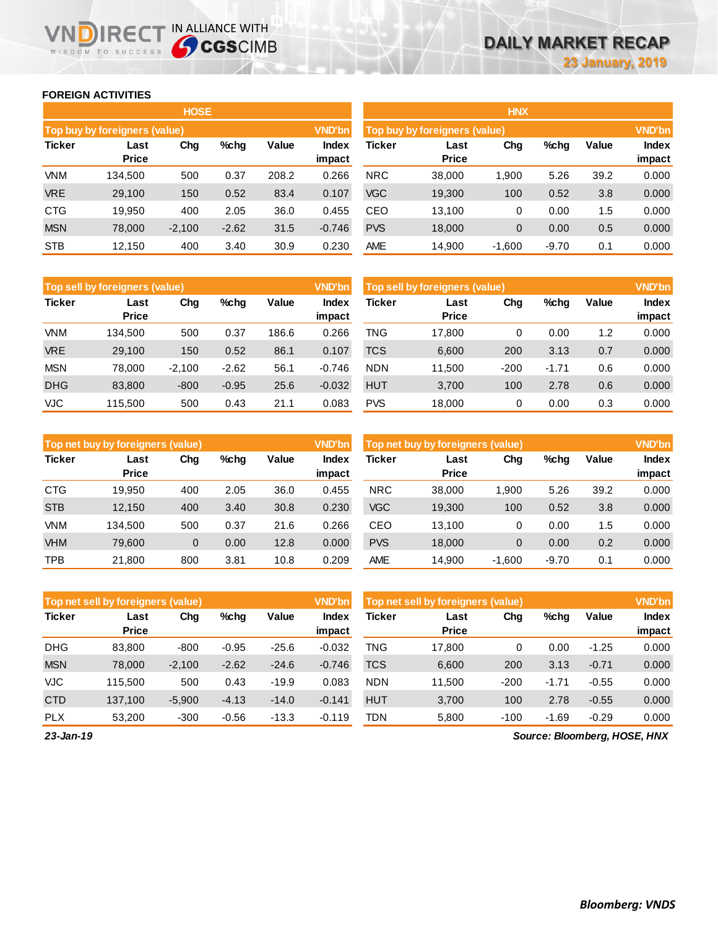#### **FOREIGN ACTIVITIES**

WISDOM TO SUCCESS

**IN DIRECT IN ALLIANCE WITH** 

|               |                               | <b>HOSE</b> |         |       |                        | <b>HNX</b> |                               |             |         |       |                 |  |
|---------------|-------------------------------|-------------|---------|-------|------------------------|------------|-------------------------------|-------------|---------|-------|-----------------|--|
|               | Top buy by foreigners (value) |             |         |       | <b>VND'bn</b>          |            | Top buy by foreigners (value) |             |         |       | <b>VND'bn</b>   |  |
| <b>Ticker</b> | Last<br><b>Price</b>          | Chg         | $%$ chg | Value | <b>Index</b><br>impact | Ticker     | Last<br><b>Price</b>          | Chg         | %chg    | Value | Index<br>impact |  |
| <b>VNM</b>    | 134.500                       | 500         | 0.37    | 208.2 | 0.266                  | <b>NRC</b> | 38,000                        | 1,900       | 5.26    | 39.2  | 0.000           |  |
| <b>VRE</b>    | 29.100                        | 150         | 0.52    | 83.4  | 0.107                  | <b>VGC</b> | 19,300                        | 100         | 0.52    | 3.8   | 0.000           |  |
| <b>CTG</b>    | 19.950                        | 400         | 2.05    | 36.0  | 0.455                  | <b>CEO</b> | 13.100                        | 0           | 0.00    | 1.5   | 0.000           |  |
| <b>MSN</b>    | 78,000                        | $-2,100$    | $-2.62$ | 31.5  | $-0.746$               | <b>PVS</b> | 18,000                        | $\mathbf 0$ | 0.00    | 0.5   | 0.000           |  |
| <b>STB</b>    | 12,150                        | 400         | 3.40    | 30.9  | 0.230                  | <b>AME</b> | 14,900                        | $-1,600$    | $-9.70$ | 0.1   | 0.000           |  |

|               | Top sell by foreigners (value) |          |         |       |                 | Top sell by foreigners (value) |                      |        |         |       | <b>VND'bn</b>          |  |  |
|---------------|--------------------------------|----------|---------|-------|-----------------|--------------------------------|----------------------|--------|---------|-------|------------------------|--|--|
| <b>Ticker</b> | Last<br><b>Price</b>           | Chg      | $%$ chg | Value | Index<br>impact | Ticker                         | Last<br><b>Price</b> | Chg    | %chg    | Value | <b>Index</b><br>impact |  |  |
| <b>VNM</b>    | 134.500                        | 500      | 0.37    | 186.6 | 0.266           | TNG                            | 17.800               | 0      | 0.00    | 1.2   | 0.000                  |  |  |
| <b>VRE</b>    | 29,100                         | 150      | 0.52    | 86.1  | 0.107           | <b>TCS</b>                     | 6,600                | 200    | 3.13    | 0.7   | 0.000                  |  |  |
| <b>MSN</b>    | 78.000                         | $-2.100$ | $-2.62$ | 56.1  | $-0.746$        | <b>NDN</b>                     | 11.500               | $-200$ | $-1.71$ | 0.6   | 0.000                  |  |  |
| <b>DHG</b>    | 83.800                         | $-800$   | $-0.95$ | 25.6  | $-0.032$        | <b>HUT</b>                     | 3,700                | 100    | 2.78    | 0.6   | 0.000                  |  |  |
| <b>VJC</b>    | 115.500                        | 500      | 0.43    | 21.1  | 0.083           | <b>PVS</b>                     | 18,000               | 0      | 0.00    | 0.3   | 0.000                  |  |  |

|               | Top net buy by foreigners (value) |     |         |       | <b>VND'bn</b>          | Top net buy by foreigners (value) |                      |          |         |       |                        |
|---------------|-----------------------------------|-----|---------|-------|------------------------|-----------------------------------|----------------------|----------|---------|-------|------------------------|
| <b>Ticker</b> | Last<br><b>Price</b>              | Chg | $%$ chg | Value | <b>Index</b><br>impact | Ticker                            | Last<br><b>Price</b> | Chg      | %chg    | Value | <b>Index</b><br>impact |
| <b>CTG</b>    | 19.950                            | 400 | 2.05    | 36.0  | 0.455                  | <b>NRC</b>                        | 38,000               | 1,900    | 5.26    | 39.2  | 0.000                  |
| <b>STB</b>    | 12,150                            | 400 | 3.40    | 30.8  | 0.230                  | <b>VGC</b>                        | 19,300               | 100      | 0.52    | 3.8   | 0.000                  |
| <b>VNM</b>    | 134.500                           | 500 | 0.37    | 21.6  | 0.266                  | CEO                               | 13.100               | 0        | 0.00    | 1.5   | 0.000                  |
| <b>VHM</b>    | 79.600                            | 0   | 0.00    | 12.8  | 0.000                  | <b>PVS</b>                        | 18,000               | 0        | 0.00    | 0.2   | 0.000                  |
| <b>TPB</b>    | 21.800                            | 800 | 3.81    | 10.8  | 0.209                  | <b>AME</b>                        | 14.900               | $-1.600$ | $-9.70$ | 0.1   | 0.000                  |

|               | Top net sell by foreigners (value) |          |         |         |                        | Top net sell by foreigners (value) |                      |        |         |         | <b>VND'bn</b>          |  |
|---------------|------------------------------------|----------|---------|---------|------------------------|------------------------------------|----------------------|--------|---------|---------|------------------------|--|
| <b>Ticker</b> | Last<br><b>Price</b>               | Chg      | %chg    | Value   | <b>Index</b><br>impact | <b>Ticker</b>                      | Last<br><b>Price</b> | Chg    | %chg    | Value   | <b>Index</b><br>impact |  |
| <b>DHG</b>    | 83,800                             | $-800$   | $-0.95$ | $-25.6$ | $-0.032$               | TNG                                | 17,800               | 0      | 0.00    | $-1.25$ | 0.000                  |  |
| <b>MSN</b>    | 78,000                             | $-2,100$ | $-2.62$ | $-24.6$ | $-0.746$               | <b>TCS</b>                         | 6,600                | 200    | 3.13    | $-0.71$ | 0.000                  |  |
| VJC           | 115.500                            | 500      | 0.43    | $-19.9$ | 0.083                  | <b>NDN</b>                         | 11.500               | $-200$ | $-1.71$ | $-0.55$ | 0.000                  |  |
| <b>CTD</b>    | 137.100                            | $-5,900$ | $-4.13$ | $-14.0$ | $-0.141$               | <b>HUT</b>                         | 3,700                | 100    | 2.78    | $-0.55$ | 0.000                  |  |
| <b>PLX</b>    | 53,200                             | $-300$   | $-0.56$ | $-13.3$ | $-0.119$               | TDN                                | 5,800                | $-100$ | $-1.69$ | $-0.29$ | 0.000                  |  |

*Source: Bloomberg, HOSE, HNX*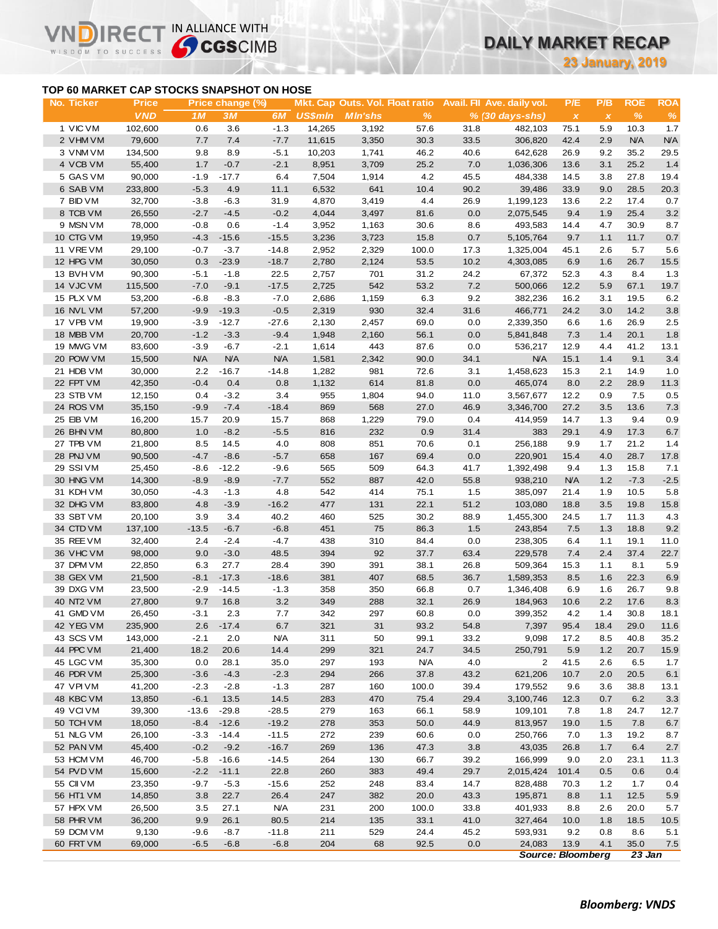## **DAILY MARKET RECAP**

**23 January, 2019**

### **TOP 60 MARKET CAP STOCKS SNAPSHOT ON HOSE**

 $R<sub>f</sub>$ 

IN ALLIANCE WITH

|                                           |                            |                  |                        |                      |                |                                                   |              |             |                                                 |                                  | <b>23 January, 2019</b> |                    |                    |
|-------------------------------------------|----------------------------|------------------|------------------------|----------------------|----------------|---------------------------------------------------|--------------|-------------|-------------------------------------------------|----------------------------------|-------------------------|--------------------|--------------------|
| TOP 60 MARKET CAP STOCKS SNAPSHOT ON HOSE |                            |                  |                        |                      |                |                                                   |              |             |                                                 |                                  |                         |                    |                    |
| No. Ticker                                | <b>Price</b><br><b>VND</b> | 1 M              | Price change (%)<br>3M | 6M                   | <b>US\$mln</b> | Mkt. Cap Outs. Vol. Float ratio<br><b>MIn'shs</b> | %            |             | Avail. Fil Ave. daily vol.<br>$% (30 days-shs)$ | P/E<br>$\boldsymbol{\mathsf{x}}$ | P/B<br>$\pmb{\chi}$     | <b>ROE</b><br>$\%$ | <b>ROA</b><br>$\%$ |
| 1 VIC VM                                  | 102,600                    | 0.6              | 3.6                    | $-1.3$               | 14,265         | 3,192                                             | 57.6         | 31.8        | 482,103                                         | 75.1                             | 5.9                     | 10.3               | 1.7                |
| 2 VHM VM                                  | 79,600                     | 7.7              | 7.4                    | $-7.7$               | 11,615         | 3,350                                             | 30.3         | 33.5        | 306,820                                         | 42.4                             | 2.9                     | <b>N/A</b>         | <b>N/A</b>         |
| 3 VNM VM                                  | 134,500                    | 9.8              | 8.9                    | $-5.1$               | 10,203         | 1,741                                             | 46.2         | 40.6        | 642,628                                         | 26.9                             | 9.2                     | 35.2               | 29.5               |
| 4 VCB VM                                  | 55,400                     | 1.7              | $-0.7$                 | $-2.1$               | 8,951          | 3,709                                             | 25.2         | 7.0         | 1,036,306                                       | 13.6                             | 3.1                     | 25.2               | 1.4                |
| 5 GAS VM                                  | 90,000                     | $-1.9$           | $-17.7$                | 6.4                  | 7,504          | 1,914                                             | 4.2          | 45.5        | 484,338                                         | 14.5                             | 3.8                     | 27.8               | 19.4               |
| 6 SAB VM                                  | 233,800                    | $-5.3$           | 4.9                    | 11.1                 | 6,532          | 641                                               | 10.4         | 90.2        | 39,486                                          | 33.9                             | 9.0                     | 28.5               | 20.3               |
| 7 BID VM                                  | 32,700                     | $-3.8$           | $-6.3$                 | 31.9                 | 4,870          | 3,419                                             | 4.4          | 26.9        | 1,199,123                                       | 13.6                             | 2.2                     | 17.4               | 0.7                |
| 8 TCB VM                                  | 26,550                     | $-2.7$           | $-4.5$                 | $-0.2$               | 4,044          | 3,497                                             | 81.6         | 0.0         | 2,075,545                                       | 9.4                              | 1.9                     | 25.4               | 3.2                |
| 9 MSN VM                                  | 78,000                     | $-0.8$           | 0.6                    | $-1.4$               | 3,952          | 1,163                                             | 30.6         | 8.6         | 493,583                                         | 14.4                             | 4.7                     | 30.9               | 8.7                |
| 10 CTG VM                                 | 19,950                     | $-4.3$           | $-15.6$                | $-15.5$              | 3,236          | 3,723                                             | 15.8         | 0.7         | 5,105,764                                       | 9.7                              | 1.1                     | 11.7               | 0.7                |
| 11 VRE VM                                 | 29,100                     | $-0.7$           | $-3.7$                 | $-14.8$              | 2,952          | 2,329                                             | 100.0        | 17.3        | 1,325,004                                       | 45.1                             | 2.6                     | 5.7                | 5.6                |
| 12 HPG VM                                 | 30,050                     | 0.3              | $-23.9$                | $-18.7$              | 2,780          | 2,124                                             | 53.5         | 10.2        | 4,303,085                                       | 6.9                              | 1.6                     | 26.7               | 15.5               |
| 13 BVHVM                                  | 90,300                     | $-5.1$           | $-1.8$                 | 22.5                 | 2,757          | 701                                               | 31.2         | 24.2        | 67,372                                          | 52.3                             | 4.3                     | 8.4                | 1.3                |
| 14 VJC VM                                 | 115,500                    | $-7.0$           | $-9.1$                 | $-17.5$              | 2,725          | 542                                               | 53.2         | 7.2         | 500,066                                         | 12.2                             | 5.9                     | 67.1               | 19.7               |
| 15 PLX VM                                 | 53,200                     | $-6.8$           | $-8.3$                 | $-7.0$               | 2,686          | 1,159                                             | 6.3          | 9.2         | 382,236                                         | 16.2                             | 3.1                     | 19.5               | 6.2                |
| 16 NVL VM<br>17 VPB VM                    | 57,200                     | $-9.9$           | $-19.3$                | $-0.5$               | 2,319          | 930                                               | 32.4         | 31.6        | 466,771<br>2,339,350                            | 24.2                             | 3.0                     | 14.2               | 3.8                |
| 18 MBB VM                                 | 19,900                     | $-3.9$<br>$-1.2$ | $-12.7$                | $-27.6$              | 2,130          | 2,457                                             | 69.0         | 0.0<br>0.0  |                                                 | 6.6<br>7.3                       | 1.6                     | 26.9<br>20.1       | 2.5                |
| 19 MWG VM                                 | 20,700<br>83,600           | $-3.9$           | $-3.3$<br>$-6.7$       | $-9.4$               | 1,948          | 2,160<br>443                                      | 56.1<br>87.6 | 0.0         | 5,841,848                                       |                                  | 1.4<br>4.4              | 41.2               | 1.8<br>13.1        |
| 20 POW VM                                 | 15,500                     | <b>N/A</b>       | <b>N/A</b>             | $-2.1$<br><b>N/A</b> | 1,614<br>1,581 | 2,342                                             | 90.0         | 34.1        | 536,217<br><b>N/A</b>                           | 12.9<br>15.1                     | 1.4                     | 9.1                | 3.4                |
| 21 HDB VM                                 | 30,000                     | 2.2              | $-16.7$                | $-14.8$              | 1,282          | 981                                               | 72.6         | 3.1         | 1,458,623                                       | 15.3                             | 2.1                     | 14.9               | 1.0                |
| 22 FPT VM                                 | 42,350                     | $-0.4$           | 0.4                    | 0.8                  | 1,132          | 614                                               | 81.8         | 0.0         | 465,074                                         | 8.0                              | 2.2                     | 28.9               | 11.3               |
| 23 STB VM                                 | 12,150                     | 0.4              | $-3.2$                 | 3.4                  | 955            | 1,804                                             | 94.0         | 11.0        | 3,567,677                                       | 12.2                             | 0.9                     | 7.5                | 0.5                |
| 24 ROS VM                                 | 35,150                     | $-9.9$           | $-7.4$                 | $-18.4$              | 869            | 568                                               | 27.0         | 46.9        | 3,346,700                                       | 27.2                             | 3.5                     | 13.6               | 7.3                |
| 25 EIB VM                                 | 16,200                     | 15.7             | 20.9                   | 15.7                 | 868            | 1,229                                             | 79.0         | 0.4         | 414,959                                         | 14.7                             | 1.3                     | 9.4                | 0.9                |
| 26 BHN VM                                 | 80,800                     | 1.0              | $-8.2$                 | $-5.5$               | 816            | 232                                               | 0.9          | 31.4        | 383                                             | 29.1                             | 4.9                     | 17.3               | 6.7                |
| 27 TPB VM                                 | 21,800                     | 8.5              | 14.5                   | 4.0                  | 808            | 851                                               | 70.6         | 0.1         | 256,188                                         | 9.9                              | 1.7                     | 21.2               | 1.4                |
| 28 PNJ VM                                 | 90,500                     | $-4.7$           | $-8.6$                 | $-5.7$               | 658            | 167                                               | 69.4         | 0.0         | 220,901                                         | 15.4                             | 4.0                     | 28.7               | 17.8               |
| 29 SSIVM                                  | 25,450                     | $-8.6$           | $-12.2$                | $-9.6$               | 565            | 509                                               | 64.3         | 41.7        | 1,392,498                                       | 9.4                              | 1.3                     | 15.8               | 7.1                |
| 30 HNG VM                                 | 14,300                     | $-8.9$           | $-8.9$                 | $-7.7$               | 552            | 887                                               | 42.0         | 55.8        | 938,210                                         | <b>N/A</b>                       | 1.2                     | $-7.3$             | $-2.5$             |
| 31 KDH VM                                 | 30,050                     | $-4.3$           | $-1.3$                 | 4.8                  | 542            | 414                                               | 75.1         | 1.5         | 385,097                                         | 21.4                             | 1.9                     | 10.5               | 5.8                |
| 32 DHG VM                                 | 83,800                     | 4.8              | $-3.9$                 | $-16.2$              | 477            | 131                                               | 22.1         | 51.2        | 103,080                                         | 18.8                             | 3.5                     | 19.8               | 15.8               |
| 33 SBT VM                                 | 20,100                     | 3.9              | 3.4                    | 40.2                 | 460            | 525                                               | 30.2         | 88.9        | 1,455,300                                       | 24.5                             | 1.7                     | 11.3               | 4.3                |
| 34 CTD VM                                 | 137,100                    | $-13.5$          | $-6.7$                 | $-6.8$               | 451            | 75                                                | 86.3         | 1.5         | 243,854                                         | 7.5                              | 1.3                     | 18.8               | 9.2                |
| 35 REE VM                                 | 32,400                     | 2.4              | $-2.4$                 | $-4.7$               | 438            | 310                                               | 84.4         | 0.0         | 238,305                                         | 6.4                              | 1.1                     | 19.1               | 11.0               |
| 36 VHC VM                                 | 98,000                     | 9.0              | $-3.0$                 | 48.5                 | 394            | 92                                                | 37.7         | 63.4        | 229,578                                         | 7.4                              | 2.4                     | 37.4               | 22.7               |
| 37 DPM VM                                 | 22,850                     | 6.3              | 27.7                   | 28.4                 | 390            | 391                                               | 38.1         | 26.8        | 509,364                                         | 15.3                             | 1.1                     | 8.1                | 5.9                |
| 38 GEX VM                                 | 21,500                     | $-8.1$           | $-17.3$                | $-18.6$              | 381            | 407                                               | 68.5         | 36.7        | 1,589,353                                       | 8.5                              | 1.6                     | 22.3               | 6.9                |
| 39 DXG VM                                 | 23,500                     | $-2.9$           | $-14.5$                | $-1.3$               | 358            | 350                                               | 66.8         | 0.7         | 1,346,408                                       | 6.9                              | 1.6                     | 26.7               | 9.8                |
| 40 NT2 VM                                 | 27,800                     | 9.7              | 16.8                   | 3.2                  | 349            | 288                                               | 32.1         | 26.9        | 184,963                                         | 10.6                             | 2.2                     | 17.6               | 8.3                |
| 41 GMD VM                                 | 26,450                     | $-3.1$           | 2.3                    | 7.7                  | 342            | 297                                               | 60.8         | 0.0         | 399,352                                         | 4.2                              | 1.4                     | 30.8               | 18.1               |
| 42 YEG VM                                 | 235,900                    | 2.6              | $-17.4$                | 6.7                  | 321            | 31                                                | 93.2         | 54.8        | 7,397                                           | 95.4                             | 18.4                    | 29.0               | 11.6               |
| 43 SCS VM                                 | 143,000                    | $-2.1$           | 2.0                    | <b>N/A</b>           | 311            | 50                                                | 99.1         | 33.2        | 9,098                                           | 17.2                             | 8.5                     | 40.8               | 35.2               |
| 44 PPC VM                                 | 21,400                     | 18.2             | 20.6                   | 14.4                 | 299            | 321                                               | 24.7         | 34.5        | 250,791                                         | 5.9                              | 1.2                     | 20.7               | 15.9               |
| 45 LGC VM                                 | 35,300                     | 0.0              | 28.1                   | 35.0                 | 297            | 193                                               | <b>N/A</b>   | 4.0         | $\overline{2}$                                  | 41.5                             | 2.6                     | 6.5                | 1.7                |
| 46 PDR VM                                 | 25,300                     | $-3.6$           | $-4.3$                 | $-2.3$               | 294            | 266                                               | 37.8         | 43.2        | 621,206                                         | 10.7                             | 2.0                     | 20.5               | 6.1                |
| 47 VPIVM                                  | 41,200                     | $-2.3$           | $-2.8$                 | $-1.3$               | 287            | 160                                               | 100.0        | 39.4        | 179,552                                         | 9.6                              | 3.6                     | 38.8               | 13.1               |
| 48 KBC VM                                 | 13,850                     | $-6.1$           | 13.5                   | 14.5                 | 283            | 470                                               | 75.4         | 29.4        | 3,100,746                                       | 12.3                             | 0.7                     | 6.2                | 3.3                |
| 49 VCIVM                                  | 39,300                     | $-13.6$          | $-29.8$                | $-28.5$              | 279            | 163                                               | 66.1         | 58.9        | 109,101                                         | 7.8                              | 1.8                     | 24.7               | 12.7               |
| 50 TCH VM                                 | 18,050                     | $-8.4$           | $-12.6$                | $-19.2$              | 278            | 353                                               | 50.0         | 44.9        | 813,957                                         | 19.0                             | 1.5                     | 7.8                | 6.7                |
| 51 NLG VM                                 | 26,100                     | $-3.3$           | $-14.4$                | $-11.5$              | 272            | 239                                               | 60.6         | 0.0         | 250,766                                         | 7.0                              | 1.3                     | 19.2               | 8.7                |
| 52 PAN VM                                 | 45,400                     | $-0.2$           | $-9.2$                 | $-16.7$              | 269            | 136                                               | 47.3         | 3.8         | 43,035                                          | 26.8                             | 1.7                     | 6.4                | 2.7                |
| 53 HCM VM                                 | 46,700                     | $-5.8$           | $-16.6$                | $-14.5$              | 264            | 130                                               | 66.7         | 39.2        | 166,999                                         | 9.0                              | 2.0                     | 23.1               | 11.3               |
| 54 PVD VM                                 | 15,600                     | $-2.2$           | $-11.1$                | 22.8                 | 260            | 383                                               | 49.4         | 29.7        | 2,015,424                                       | 101.4                            | 0.5                     | 0.6                | 0.4                |
| 55 CII VM                                 | 23,350                     | $-9.7$           | $-5.3$                 | $-15.6$              | 252            | 248                                               | 83.4         | 14.7        | 828,488                                         | 70.3                             | 1.2                     | 1.7                | 0.4                |
| 56 HT1 VM                                 | 14,850                     | 3.8              | 22.7                   | 26.4                 | 247            | 382                                               | 20.0         | 43.3        | 195,871                                         | 8.8                              | 1.1                     | 12.5               | $5.9\,$            |
| 57 HPX VM                                 | 26,500                     | 3.5              | 27.1                   | <b>N/A</b>           | 231            | 200                                               | 100.0        | 33.8        | 401,933                                         | 8.8                              | 2.6                     | 20.0               | 5.7                |
| 58 PHR VM                                 | 36,200                     | 9.9              | 26.1                   | 80.5                 | 214            | 135                                               | 33.1         | 41.0        | 327,464                                         | 10.0                             | 1.8                     | 18.5               | 10.5               |
| 59 DCM VM<br>60 FRT VM                    | 9,130<br>69,000            | $-9.6$           | $-8.7$                 | $-11.8$<br>$-6.8$    | 211<br>204     | 529<br>68                                         | 24.4         | 45.2<br>0.0 | 593,931<br>24,083                               | 9.2<br>13.9                      | 0.8<br>4.1              | 8.6<br>35.0        | 5.1                |
|                                           |                            | $-6.5$           | $-6.8$                 |                      |                |                                                   | 92.5         |             | <b>Source: Bloomberg</b>                        |                                  |                         | $23$ Jan           | 7.5                |